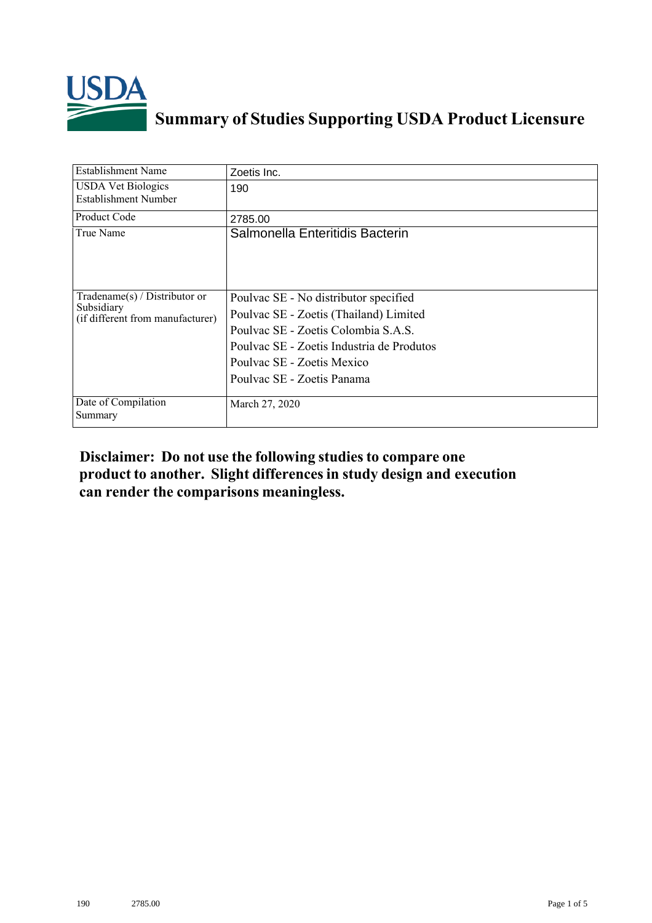

## **Summary of Studies Supporting USDA Product Licensure**

| <b>Establishment Name</b>                                                          | Zoetis Inc.                                                                                                                                                                                                                     |
|------------------------------------------------------------------------------------|---------------------------------------------------------------------------------------------------------------------------------------------------------------------------------------------------------------------------------|
| <b>USDA Vet Biologics</b><br><b>Establishment Number</b>                           | 190                                                                                                                                                                                                                             |
| Product Code                                                                       | 2785.00                                                                                                                                                                                                                         |
| True Name                                                                          | Salmonella Enteritidis Bacterin                                                                                                                                                                                                 |
| Tradename $(s)$ / Distributor or<br>Subsidiary<br>(if different from manufacturer) | Poulvac SE - No distributor specified<br>Poulvac SE - Zoetis (Thailand) Limited<br>Poulvac SE - Zoetis Colombia S.A.S.<br>Poulvac SE - Zoetis Industria de Produtos<br>Poulvac SE - Zoetis Mexico<br>Poulvac SE - Zoetis Panama |
| Date of Compilation<br>Summary                                                     | March 27, 2020                                                                                                                                                                                                                  |

## **Disclaimer: Do not use the following studiesto compare one product to another. Slight differencesin study design and execution can render the comparisons meaningless.**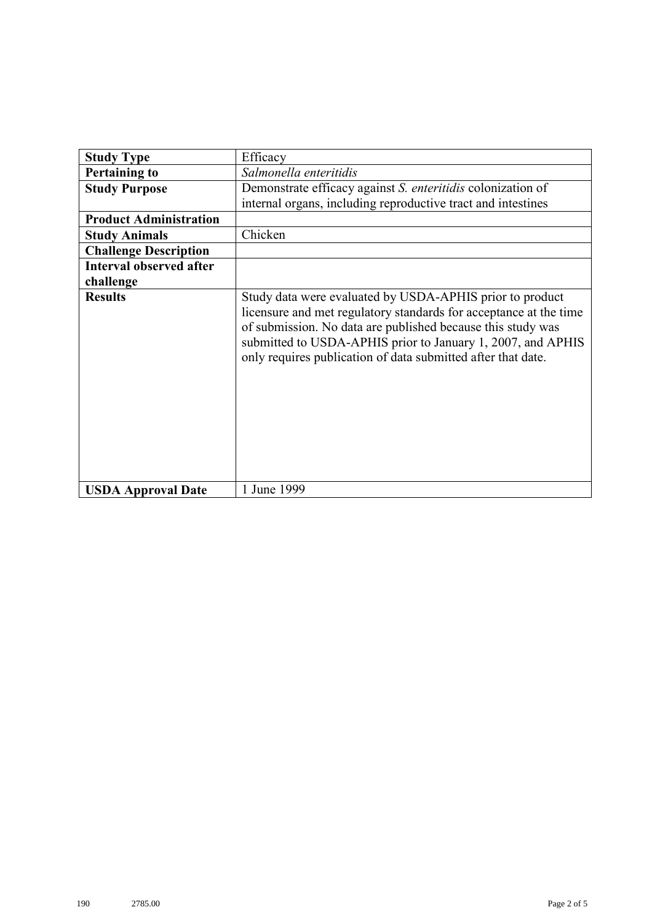| <b>Study Type</b>              | Efficacy                                                                                                                                                                                                                                                                                                                    |
|--------------------------------|-----------------------------------------------------------------------------------------------------------------------------------------------------------------------------------------------------------------------------------------------------------------------------------------------------------------------------|
| <b>Pertaining to</b>           | Salmonella enteritidis                                                                                                                                                                                                                                                                                                      |
| <b>Study Purpose</b>           | Demonstrate efficacy against <i>S. enteritidis</i> colonization of                                                                                                                                                                                                                                                          |
|                                | internal organs, including reproductive tract and intestines                                                                                                                                                                                                                                                                |
| <b>Product Administration</b>  |                                                                                                                                                                                                                                                                                                                             |
| <b>Study Animals</b>           | Chicken                                                                                                                                                                                                                                                                                                                     |
| <b>Challenge Description</b>   |                                                                                                                                                                                                                                                                                                                             |
| <b>Interval observed after</b> |                                                                                                                                                                                                                                                                                                                             |
| challenge                      |                                                                                                                                                                                                                                                                                                                             |
| <b>Results</b>                 | Study data were evaluated by USDA-APHIS prior to product<br>licensure and met regulatory standards for acceptance at the time<br>of submission. No data are published because this study was<br>submitted to USDA-APHIS prior to January 1, 2007, and APHIS<br>only requires publication of data submitted after that date. |
| <b>USDA Approval Date</b>      | 1 June 1999                                                                                                                                                                                                                                                                                                                 |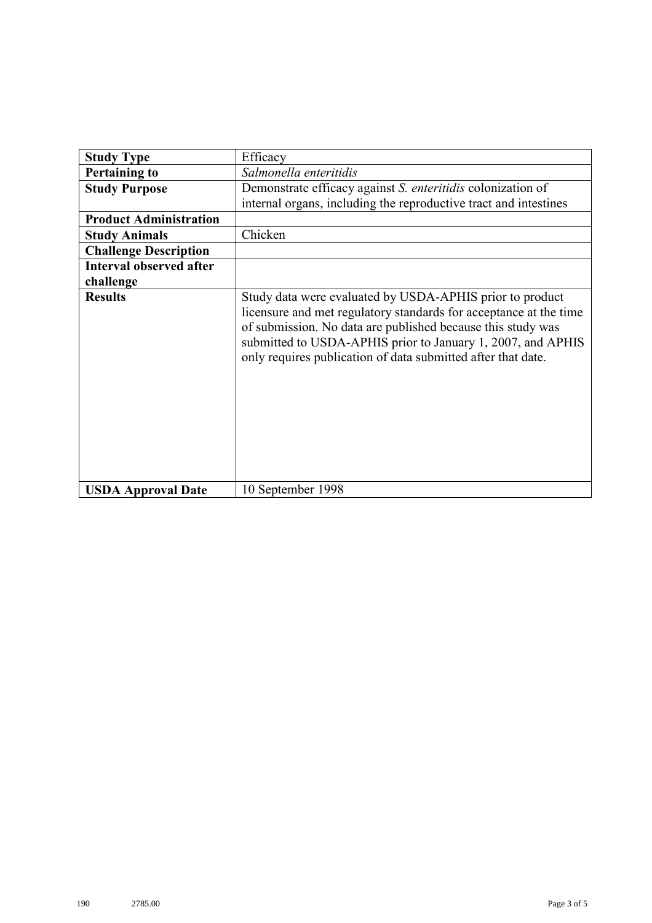| <b>Study Type</b>              | Efficacy                                                                                                                                                                                                                                                                                                                    |
|--------------------------------|-----------------------------------------------------------------------------------------------------------------------------------------------------------------------------------------------------------------------------------------------------------------------------------------------------------------------------|
| <b>Pertaining to</b>           | Salmonella enteritidis                                                                                                                                                                                                                                                                                                      |
| <b>Study Purpose</b>           | Demonstrate efficacy against S. enteritidis colonization of<br>internal organs, including the reproductive tract and intestines                                                                                                                                                                                             |
| <b>Product Administration</b>  |                                                                                                                                                                                                                                                                                                                             |
| <b>Study Animals</b>           | Chicken                                                                                                                                                                                                                                                                                                                     |
| <b>Challenge Description</b>   |                                                                                                                                                                                                                                                                                                                             |
| <b>Interval observed after</b> |                                                                                                                                                                                                                                                                                                                             |
| challenge                      |                                                                                                                                                                                                                                                                                                                             |
| <b>Results</b>                 | Study data were evaluated by USDA-APHIS prior to product<br>licensure and met regulatory standards for acceptance at the time<br>of submission. No data are published because this study was<br>submitted to USDA-APHIS prior to January 1, 2007, and APHIS<br>only requires publication of data submitted after that date. |
| <b>USDA Approval Date</b>      | 10 September 1998                                                                                                                                                                                                                                                                                                           |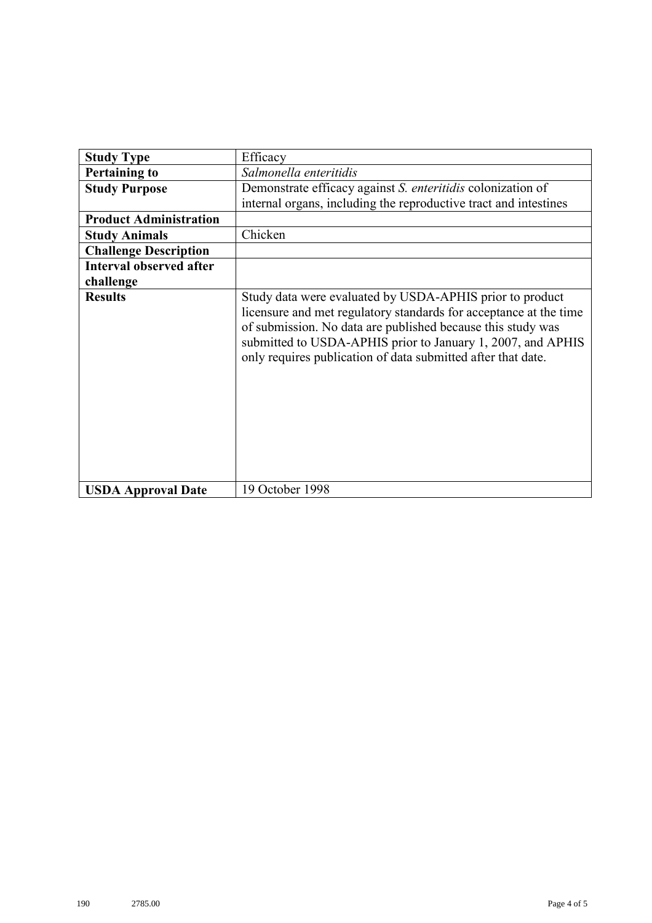| <b>Study Type</b>              | Efficacy                                                                                                                                                                                                                                                                                                                    |
|--------------------------------|-----------------------------------------------------------------------------------------------------------------------------------------------------------------------------------------------------------------------------------------------------------------------------------------------------------------------------|
| <b>Pertaining to</b>           | Salmonella enteritidis                                                                                                                                                                                                                                                                                                      |
| <b>Study Purpose</b>           | Demonstrate efficacy against <i>S. enteritidis</i> colonization of                                                                                                                                                                                                                                                          |
|                                | internal organs, including the reproductive tract and intestines                                                                                                                                                                                                                                                            |
| <b>Product Administration</b>  |                                                                                                                                                                                                                                                                                                                             |
| <b>Study Animals</b>           | Chicken                                                                                                                                                                                                                                                                                                                     |
| <b>Challenge Description</b>   |                                                                                                                                                                                                                                                                                                                             |
| <b>Interval observed after</b> |                                                                                                                                                                                                                                                                                                                             |
| challenge                      |                                                                                                                                                                                                                                                                                                                             |
| <b>Results</b>                 | Study data were evaluated by USDA-APHIS prior to product<br>licensure and met regulatory standards for acceptance at the time<br>of submission. No data are published because this study was<br>submitted to USDA-APHIS prior to January 1, 2007, and APHIS<br>only requires publication of data submitted after that date. |
| <b>USDA Approval Date</b>      | 19 October 1998                                                                                                                                                                                                                                                                                                             |